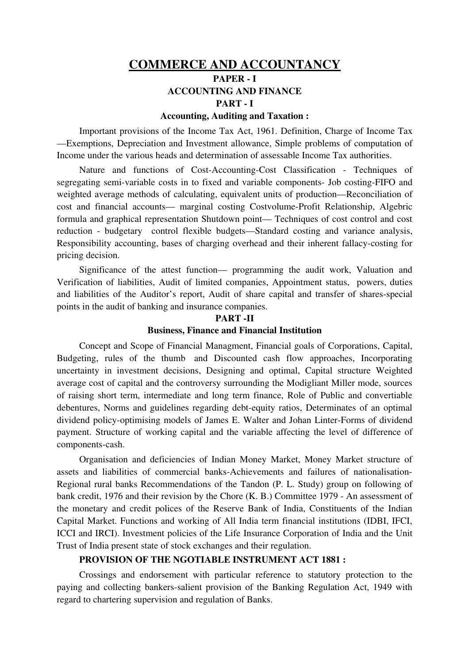## COMMERCE AND ACCOUNTANCY PAPER - I ACCOUNTING AND FINANCE

#### PART - I

#### Accounting, Auditing and Taxation :

Important provisions of the Income Tax Act, 1961. Definition, Charge of Income Tax —Exemptions, Depreciation and Investment allowance, Simple problems of computation of Income under the various heads and determination of assessable Income Tax authorities.

Nature and functions of Cost-Accounting-Cost Classification - Techniques of segregating semi-variable costs in to fixed and variable components- Job costing-FIFO and weighted average methods of calculating, equivalent units of production—Reconciliation of cost and financial accounts— marginal costing Costvolume-Profit Relationship, Algebric formula and graphical representation Shutdown point— Techniques of cost control and cost reduction - budgetary control flexible budgets—Standard costing and variance analysis, Responsibility accounting, bases of charging overhead and their inherent fallacy-costing for pricing decision.

Significance of the attest function— programming the audit work, Valuation and Verification of liabilities, Audit of limited companies, Appointment status, powers, duties and liabilities of the Auditor's report, Audit of share capital and transfer of shares-special points in the audit of banking and insurance companies.

# PART-II

#### Business, Finance and Financial Institution

Concept and Scope of Financial Managment, Financial goals of Corporations, Capital, Budgeting, rules of the thumb and Discounted cash flow approaches, Incorporating uncertainty in investment decisions, Designing and optimal, Capital structure Weighted average cost of capital and the controversy surrounding the Modigliant Miller mode, sources of raising short term, intermediate and long term finance, Role of Public and convertiable debentures, Norms and guidelines regarding debt-equity ratios, Determinates of an optimal dividend policy-optimising models of James E. Walter and Johan Linter-Forms of dividend payment. Structure of working capital and the variable affecting the level of difference of components-cash.

Organisation and deficiencies of Indian Money Market, Money Market structure of assets and liabilities of commercial banks-Achievements and failures of nationalisation-Regional rural banks Recommendations of the Tandon (P. L. Study) group on following of bank credit, 1976 and their revision by the Chore (K. B.) Committee 1979 - An assessment of the monetary and credit polices of the Reserve Bank of India, Constituents of the Indian Capital Market. Functions and working of All India term financial institutions (IDBI, IFCI, ICCI and IRCI). Investment policies of the Life Insurance Corporation of India and the Unit Trust of India present state of stock exchanges and their regulation.

#### PROVISION OF THE NGOTIABLE INSTRUMENT ACT 1881 :

Crossings and endorsement with particular reference to statutory protection to the paying and collecting bankers-salient provision of the Banking Regulation Act, 1949 with regard to chartering supervision and regulation of Banks.